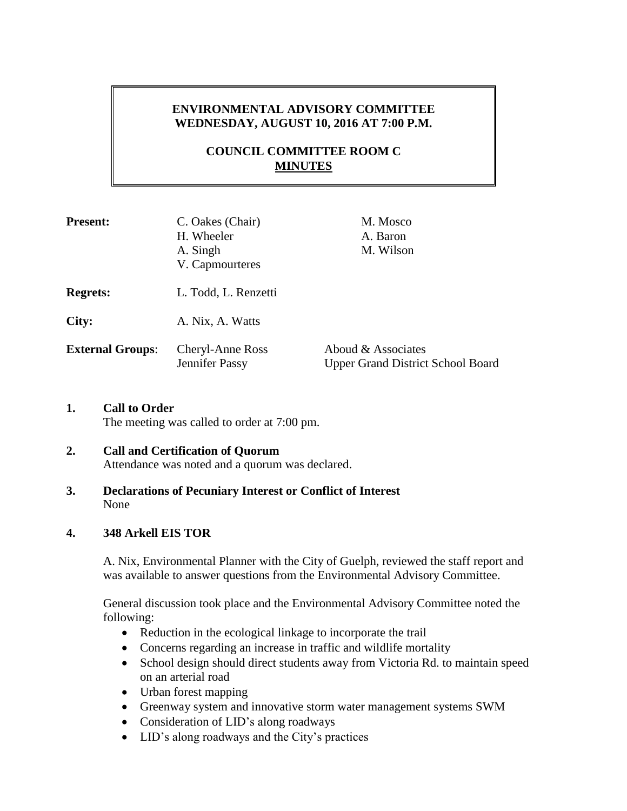# **ENVIRONMENTAL ADVISORY COMMITTEE WEDNESDAY, AUGUST 10, 2016 AT 7:00 P.M.**

# **COUNCIL COMMITTEE ROOM C MINUTES**

| <b>Present:</b>         | C. Oakes (Chair)<br>H. Wheeler<br>A. Singh<br>V. Capmourteres | M. Mosco<br>A. Baron<br>M. Wilson                              |
|-------------------------|---------------------------------------------------------------|----------------------------------------------------------------|
| <b>Regrets:</b>         | L. Todd, L. Renzetti                                          |                                                                |
| City:                   | A. Nix, A. Watts                                              |                                                                |
| <b>External Groups:</b> | <b>Cheryl-Anne Ross</b><br>Jennifer Passy                     | Aboud & Associates<br><b>Upper Grand District School Board</b> |

**1. Call to Order**

The meeting was called to order at 7:00 pm.

# **2. Call and Certification of Quorum**

- Attendance was noted and a quorum was declared.
- **3. Declarations of Pecuniary Interest or Conflict of Interest** None

## **4. 348 Arkell EIS TOR**

A. Nix, Environmental Planner with the City of Guelph, reviewed the staff report and was available to answer questions from the Environmental Advisory Committee.

General discussion took place and the Environmental Advisory Committee noted the following:

- Reduction in the ecological linkage to incorporate the trail
- Concerns regarding an increase in traffic and wildlife mortality
- School design should direct students away from Victoria Rd. to maintain speed on an arterial road
- Urban forest mapping
- Greenway system and innovative storm water management systems SWM
- Consideration of LID's along roadways
- LID's along roadways and the City's practices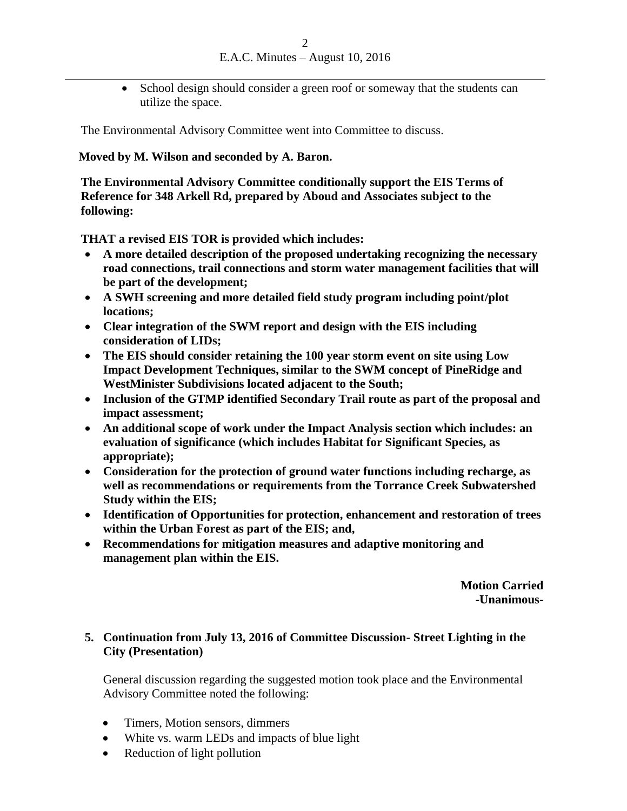• School design should consider a green roof or someway that the students can utilize the space.

The Environmental Advisory Committee went into Committee to discuss.

#### **Moved by M. Wilson and seconded by A. Baron.**

**The Environmental Advisory Committee conditionally support the EIS Terms of Reference for 348 Arkell Rd, prepared by Aboud and Associates subject to the following:**

**THAT a revised EIS TOR is provided which includes:**

- **A more detailed description of the proposed undertaking recognizing the necessary road connections, trail connections and storm water management facilities that will be part of the development;**
- **A SWH screening and more detailed field study program including point/plot locations;**
- **Clear integration of the SWM report and design with the EIS including consideration of LIDs;**
- **The EIS should consider retaining the 100 year storm event on site using Low Impact Development Techniques, similar to the SWM concept of PineRidge and WestMinister Subdivisions located adjacent to the South;**
- **Inclusion of the GTMP identified Secondary Trail route as part of the proposal and impact assessment;**
- **An additional scope of work under the Impact Analysis section which includes: an evaluation of significance (which includes Habitat for Significant Species, as appropriate);**
- **Consideration for the protection of ground water functions including recharge, as well as recommendations or requirements from the Torrance Creek Subwatershed Study within the EIS;**
- **Identification of Opportunities for protection, enhancement and restoration of trees within the Urban Forest as part of the EIS; and,**
- **Recommendations for mitigation measures and adaptive monitoring and management plan within the EIS.**

**Motion Carried -Unanimous-**

## **5. Continuation from July 13, 2016 of Committee Discussion- Street Lighting in the City (Presentation)**

General discussion regarding the suggested motion took place and the Environmental Advisory Committee noted the following:

- Timers, Motion sensors, dimmers
- White vs. warm LEDs and impacts of blue light
- Reduction of light pollution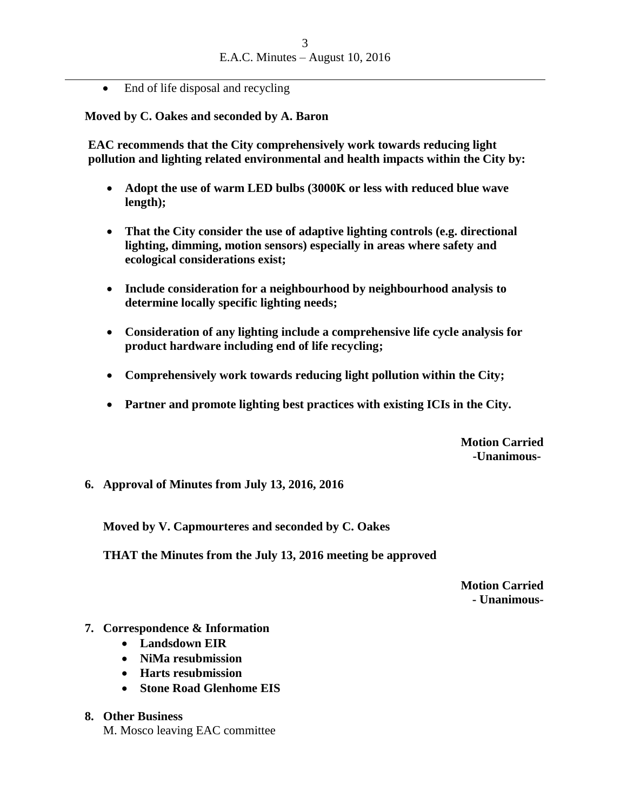• End of life disposal and recycling

**Moved by C. Oakes and seconded by A. Baron**

**EAC recommends that the City comprehensively work towards reducing light pollution and lighting related environmental and health impacts within the City by:**

- **Adopt the use of warm LED bulbs (3000K or less with reduced blue wave length);**
- **That the City consider the use of adaptive lighting controls (e.g. directional lighting, dimming, motion sensors) especially in areas where safety and ecological considerations exist;**
- **Include consideration for a neighbourhood by neighbourhood analysis to determine locally specific lighting needs;**
- **Consideration of any lighting include a comprehensive life cycle analysis for product hardware including end of life recycling;**
- **Comprehensively work towards reducing light pollution within the City;**
- **Partner and promote lighting best practices with existing ICIs in the City.**

**Motion Carried -Unanimous-**

## **6. Approval of Minutes from July 13, 2016, 2016**

**Moved by V. Capmourteres and seconded by C. Oakes**

**THAT the Minutes from the July 13, 2016 meeting be approved**

**Motion Carried - Unanimous-**

#### **7. Correspondence & Information**

- **Landsdown EIR**
- **NiMa resubmission**
- **Harts resubmission**
- **Stone Road Glenhome EIS**

#### **8. Other Business** M. Mosco leaving EAC committee